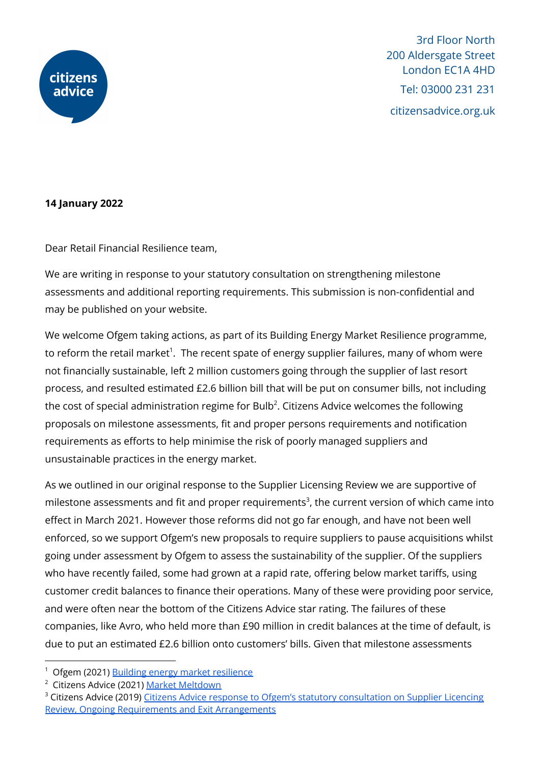

3rd Floor North 200 Aldersgate Street London EC1A 4HD Tel: 03000 231 231 citizensadvice.org.uk

## **14 January 2022**

Dear Retail Financial Resilience team,

We are writing in response to your statutory consultation on strengthening milestone assessments and additional reporting requirements. This submission is non-confidential and may be published on your website.

We welcome Ofgem taking actions, as part of its Building Energy Market Resilience programme, to reform the retail market $^{\rm 1}$ . The recent spate of energy supplier failures, many of whom were not financially sustainable, left 2 million customers going through the supplier of last resort process, and resulted estimated £2.6 billion bill that will be put on consumer bills, not including the cost of special administration regime for Bulb $^2$ . Citizens Advice welcomes the following proposals on milestone assessments, fit and proper persons requirements and notification requirements as efforts to help minimise the risk of poorly managed suppliers and unsustainable practices in the energy market.

As we outlined in our original response to the Supplier Licensing Review we are supportive of milestone assessments and fit and proper requirements<sup>3</sup>, the current version of which came into effect in March 2021. However those reforms did not go far enough, and have not been well enforced, so we support Ofgem's new proposals to require suppliers to pause acquisitions whilst going under assessment by Ofgem to assess the sustainability of the supplier. Of the suppliers who have recently failed, some had grown at a rapid rate, offering below market tariffs, using customer credit balances to finance their operations. Many of these were providing poor service, and were often near the bottom of the Citizens Advice star rating. The failures of these companies, like Avro, who held more than £90 million in credit balances at the time of default, is due to put an estimated £2.6 billion onto customers' bills. Given that milestone assessments

<sup>1</sup> Ofgem (2021) Building energy market [resilience](https://www.ofgem.gov.uk/publications/building-energy-market-resilience)

<sup>2</sup> Citizens Advice (2021) Market [Meltdown](https://www.citizensadvice.org.uk/about-us/our-work/policy/policy-research-topics/energy-policy-research-and-consultation-responses/energy-policy-research/market-meltdown-how-regulatory-failures-landed-us-with-a-multi-billion-pound-bill/)

<sup>&</sup>lt;sup>3</sup> Citizens Advice (2019) Citizens Advice response to Ofgem's statutory [consultation](https://www.citizensadvice.org.uk/about-us/our-work/policy/policy-research-topics/energy-policy-research-and-consultation-responses/energy-consultation-responses/citizens-advice-response-to-ofgems-statutory-consultation-supplier-licensing-review-ongoing-requirements-and-exit-arrangements/) on Supplier Licencing Review, Ongoing Requirements and Exit [Arrangements](https://www.citizensadvice.org.uk/about-us/our-work/policy/policy-research-topics/energy-policy-research-and-consultation-responses/energy-consultation-responses/citizens-advice-response-to-ofgems-statutory-consultation-supplier-licensing-review-ongoing-requirements-and-exit-arrangements/)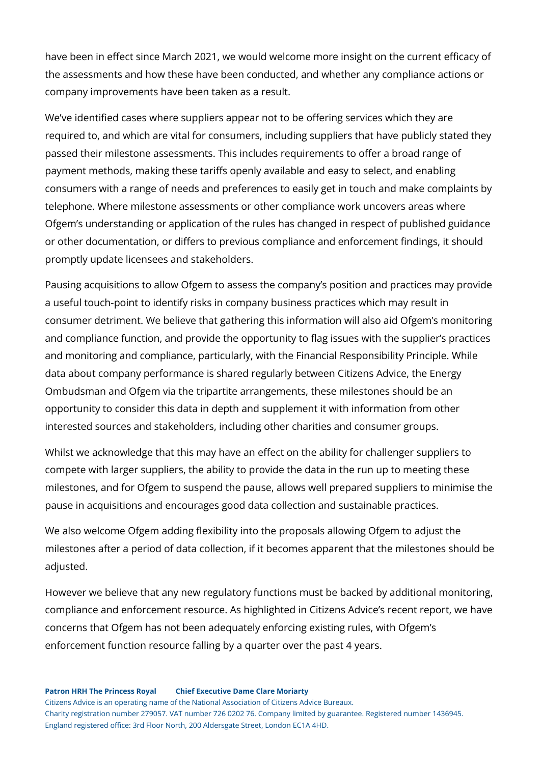have been in effect since March 2021, we would welcome more insight on the current efficacy of the assessments and how these have been conducted, and whether any compliance actions or company improvements have been taken as a result.

We've identified cases where suppliers appear not to be offering services which they are required to, and which are vital for consumers, including suppliers that have publicly stated they passed their milestone assessments. This includes requirements to offer a broad range of payment methods, making these tariffs openly available and easy to select, and enabling consumers with a range of needs and preferences to easily get in touch and make complaints by telephone. Where milestone assessments or other compliance work uncovers areas where Ofgem's understanding or application of the rules has changed in respect of published guidance or other documentation, or differs to previous compliance and enforcement findings, it should promptly update licensees and stakeholders.

Pausing acquisitions to allow Ofgem to assess the company's position and practices may provide a useful touch-point to identify risks in company business practices which may result in consumer detriment. We believe that gathering this information will also aid Ofgem's monitoring and compliance function, and provide the opportunity to flag issues with the supplier's practices and monitoring and compliance, particularly, with the Financial Responsibility Principle. While data about company performance is shared regularly between Citizens Advice, the Energy Ombudsman and Ofgem via the tripartite arrangements, these milestones should be an opportunity to consider this data in depth and supplement it with information from other interested sources and stakeholders, including other charities and consumer groups.

Whilst we acknowledge that this may have an effect on the ability for challenger suppliers to compete with larger suppliers, the ability to provide the data in the run up to meeting these milestones, and for Ofgem to suspend the pause, allows well prepared suppliers to minimise the pause in acquisitions and encourages good data collection and sustainable practices.

We also welcome Ofgem adding flexibility into the proposals allowing Ofgem to adjust the milestones after a period of data collection, if it becomes apparent that the milestones should be adjusted.

However we believe that any new regulatory functions must be backed by additional monitoring, compliance and enforcement resource. As highlighted in Citizens Advice's recent report, we have concerns that Ofgem has not been adequately enforcing existing rules, with Ofgem's enforcement function resource falling by a quarter over the past 4 years.

## **Patron HRH The Princess Royal Chief Executive Dame Clare Moriarty**

Citizens Advice is an operating name of the National Association of Citizens Advice Bureaux. Charity registration number 279057. VAT number 726 0202 76. Company limited by guarantee. Registered number 1436945. England registered office: 3rd Floor North, 200 Aldersgate Street, London EC1A 4HD.